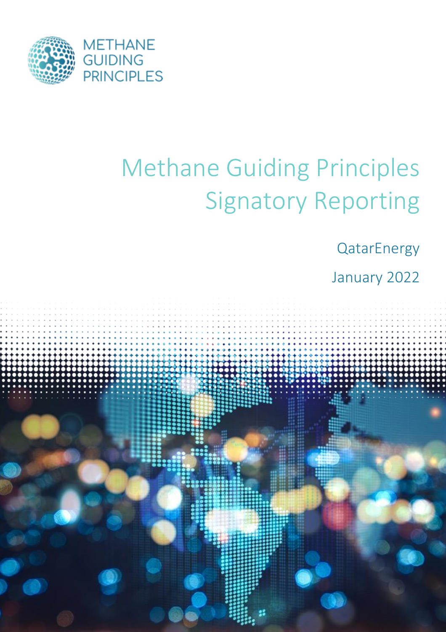

# Methane Guiding Principles Signatory Reporting

**QatarEnergy** 

January 2022

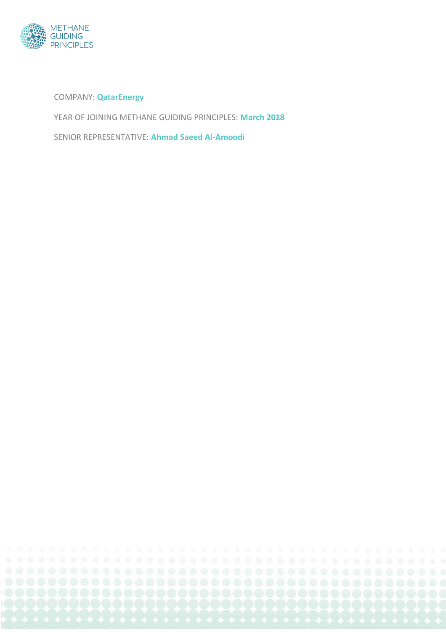

COMPANY: **QatarEnergy**

YEAR OF JOINING METHANE GUIDING PRINCIPLES: **March 2018**

SENIOR REPRESENTATIVE: **Ahmad Saeed Al-Amoodi**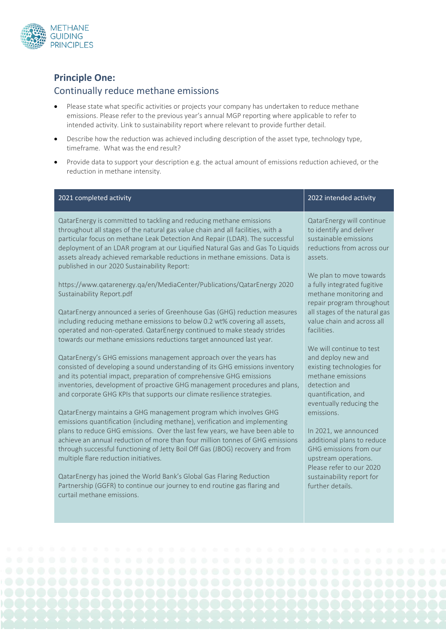

## **Principle One:**

#### Continually reduce methane emissions

- Please state what specific activities or projects your company has undertaken to reduce methane emissions. Please refer to the previous year's annual MGP reporting where applicable to refer to intended activity. Link to sustainability report where relevant to provide further detail.
- Describe how the reduction was achieved including description of the asset type, technology type, timeframe. What was the end result?
- Provide data to support your description e.g. the actual amount of emissions reduction achieved, or the reduction in methane intensity.

| 2021 completed activity                                                                                                                                                                                                                                                                                                                                                                                                                                | 2022 intended activity                                                                                                                                              |
|--------------------------------------------------------------------------------------------------------------------------------------------------------------------------------------------------------------------------------------------------------------------------------------------------------------------------------------------------------------------------------------------------------------------------------------------------------|---------------------------------------------------------------------------------------------------------------------------------------------------------------------|
| QatarEnergy is committed to tackling and reducing methane emissions<br>throughout all stages of the natural gas value chain and all facilities, with a<br>particular focus on methane Leak Detection And Repair (LDAR). The successful<br>deployment of an LDAR program at our Liquified Natural Gas and Gas To Liquids<br>assets already achieved remarkable reductions in methane emissions. Data is<br>published in our 2020 Sustainability Report: | QatarEnergy will continue<br>to identify and deliver<br>sustainable emissions<br>reductions from across our<br>assets.                                              |
| https://www.qatarenergy.qa/en/MediaCenter/Publications/QatarEnergy 2020<br>Sustainability Report.pdf                                                                                                                                                                                                                                                                                                                                                   | We plan to move towards<br>a fully integrated fugitive<br>methane monitoring and<br>repair program throughout                                                       |
| QatarEnergy announced a series of Greenhouse Gas (GHG) reduction measures<br>including reducing methane emissions to below 0.2 wt% covering all assets,<br>operated and non-operated. QatarEnergy continued to make steady strides<br>towards our methane emissions reductions target announced last year.                                                                                                                                             | all stages of the natural gas<br>value chain and across all<br>facilities.                                                                                          |
| QatarEnergy's GHG emissions management approach over the years has<br>consisted of developing a sound understanding of its GHG emissions inventory<br>and its potential impact, preparation of comprehensive GHG emissions<br>inventories, development of proactive GHG management procedures and plans,<br>and corporate GHG KPIs that supports our climate resilience strategies.                                                                    | We will continue to test<br>and deploy new and<br>existing technologies for<br>methane emissions<br>detection and<br>quantification, and<br>eventually reducing the |
| QatarEnergy maintains a GHG management program which involves GHG<br>emissions quantification (including methane), verification and implementing                                                                                                                                                                                                                                                                                                       | emissions.                                                                                                                                                          |
| plans to reduce GHG emissions. Over the last few years, we have been able to<br>achieve an annual reduction of more than four million tonnes of GHG emissions<br>through successful functioning of Jetty Boil Off Gas (JBOG) recovery and from<br>multiple flare reduction initiatives.                                                                                                                                                                | In 2021, we announced<br>additional plans to reduce<br>GHG emissions from our<br>upstream operations.<br>Please refer to our 2020                                   |
| QatarEnergy has joined the World Bank's Global Gas Flaring Reduction<br>Partnership (GGFR) to continue our journey to end routine gas flaring and<br>curtail methane emissions.                                                                                                                                                                                                                                                                        | sustainability report for<br>further details.                                                                                                                       |
|                                                                                                                                                                                                                                                                                                                                                                                                                                                        |                                                                                                                                                                     |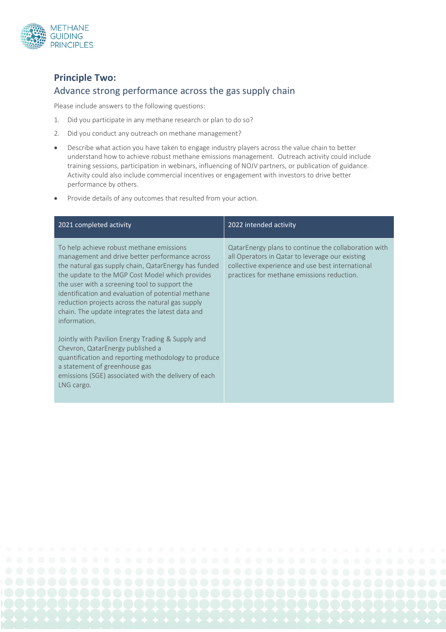

# **Principle Two:**  Advance strong performance across the gas supply chain

Please include answers to the following questions:

- 1. Did you participate in any methane research or plan to do so?
- 2. Did you conduct any outreach on methane management?
- Describe what action you have taken to engage industry players across the value chain to better understand how to achieve robust methane emissions management. Outreach activity could include training sessions, participation in webinars, influencing of NOJV partners, or publication of guidance. Activity could also include commercial incentives or engagement with investors to drive better performance by others.
- Provide details of any outcomes that resulted from your action.

| 2021 completed activity                                                                                                                                                                                                                                                                                                                                                                                                              | 2022 intended activity                                                                                                                                                                                    |
|--------------------------------------------------------------------------------------------------------------------------------------------------------------------------------------------------------------------------------------------------------------------------------------------------------------------------------------------------------------------------------------------------------------------------------------|-----------------------------------------------------------------------------------------------------------------------------------------------------------------------------------------------------------|
| To help achieve robust methane emissions<br>management and drive better performance across<br>the natural gas supply chain, QatarEnergy has funded<br>the update to the MGP Cost Model which provides<br>the user with a screening tool to support the<br>identification and evaluation of potential methane<br>reduction projects across the natural gas supply<br>chain. The update integrates the latest data and<br>information. | QatarEnergy plans to continue the collaboration with<br>all Operators in Qatar to leverage our existing<br>collective experience and use best international<br>practices for methane emissions reduction. |
| Jointly with Pavilion Energy Trading & Supply and<br>Chevron, QatarEnergy published a<br>quantification and reporting methodology to produce<br>a statement of greenhouse gas<br>emissions (SGE) associated with the delivery of each<br>LNG cargo.                                                                                                                                                                                  |                                                                                                                                                                                                           |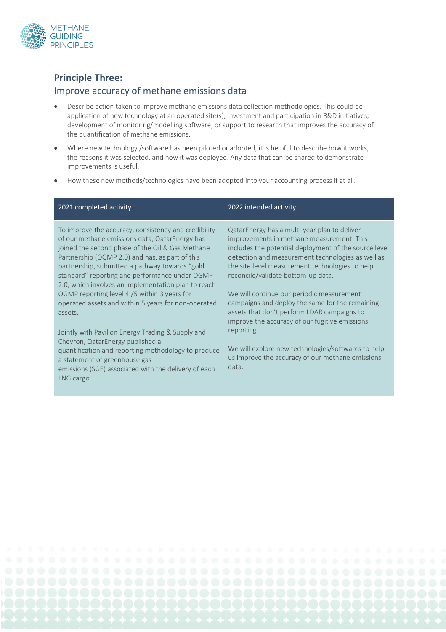

#### **Principle Three:**

#### Improve accuracy of methane emissions data

- Describe action taken to improve methane emissions data collection methodologies. This could be application of new technology at an operated site(s), investment and participation in R&D initiatives, development of monitoring/modelling software, or support to research that improves the accuracy of the quantification of methane emissions.
- Where new technology /software has been piloted or adopted, it is helpful to describe how it works, the reasons it was selected, and how it was deployed. Any data that can be shared to demonstrate improvements is useful.
- How these new methods/technologies have been adopted into your accounting process if at all.

| 2021 completed activity                                                                                                                                                                                                                                                                                                                                                                                                                                                                   | 2022 intended activity                                                                                                                                                                                                                                                                                                                                                                                                                          |
|-------------------------------------------------------------------------------------------------------------------------------------------------------------------------------------------------------------------------------------------------------------------------------------------------------------------------------------------------------------------------------------------------------------------------------------------------------------------------------------------|-------------------------------------------------------------------------------------------------------------------------------------------------------------------------------------------------------------------------------------------------------------------------------------------------------------------------------------------------------------------------------------------------------------------------------------------------|
| To improve the accuracy, consistency and credibility<br>of our methane emissions data, QatarEnergy has<br>joined the second phase of the Oil & Gas Methane<br>Partnership (OGMP 2.0) and has, as part of this<br>partnership, submitted a pathway towards "gold<br>standard" reporting and performance under OGMP<br>2.0, which involves an implementation plan to reach<br>OGMP reporting level 4/5 within 3 years for<br>operated assets and within 5 years for non-operated<br>assets. | QatarEnergy has a multi-year plan to deliver<br>improvements in methane measurement. This<br>includes the potential deployment of the source level<br>detection and measurement technologies as well as<br>the site level measurement technologies to help<br>reconcile/validate bottom-up data.<br>We will continue our periodic measurement<br>campaigns and deploy the same for the remaining<br>assets that don't perform LDAR campaigns to |
| Jointly with Pavilion Energy Trading & Supply and<br>Chevron, QatarEnergy published a<br>quantification and reporting methodology to produce<br>a statement of greenhouse gas<br>emissions (SGE) associated with the delivery of each<br>LNG cargo.                                                                                                                                                                                                                                       | improve the accuracy of our fugitive emissions<br>reporting.<br>We will explore new technologies/softwares to help<br>us improve the accuracy of our methane emissions<br>data.                                                                                                                                                                                                                                                                 |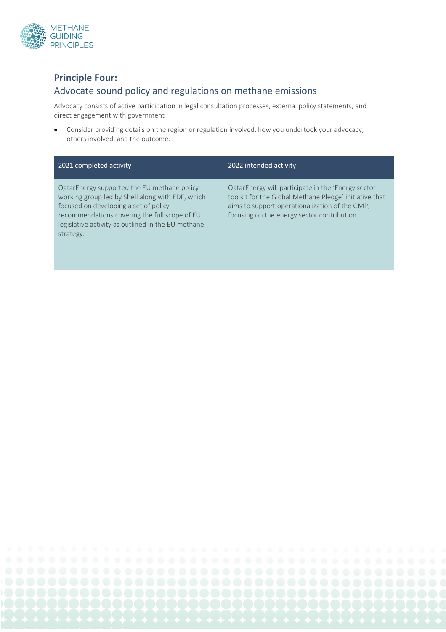

## **Principle Four:**

### Advocate sound policy and regulations on methane emissions

Advocacy consists of active participation in legal consultation processes, external policy statements, and direct engagement with government

• Consider providing details on the region or regulation involved, how you undertook your advocacy, others involved, and the outcome.

| 2021 completed activity                                                                                                                                                                                                                                      | 2022 intended activity                                                                                                                                                                                        |
|--------------------------------------------------------------------------------------------------------------------------------------------------------------------------------------------------------------------------------------------------------------|---------------------------------------------------------------------------------------------------------------------------------------------------------------------------------------------------------------|
| QatarEnergy supported the EU methane policy<br>working group led by Shell along with EDF, which<br>focused on developing a set of policy<br>recommendations covering the full scope of EU<br>legislative activity as outlined in the EU methane<br>strategy. | QatarEnergy will participate in the 'Energy sector<br>toolkit for the Global Methane Pledge' initiative that<br>aims to support operationalization of the GMP,<br>focusing on the energy sector contribution. |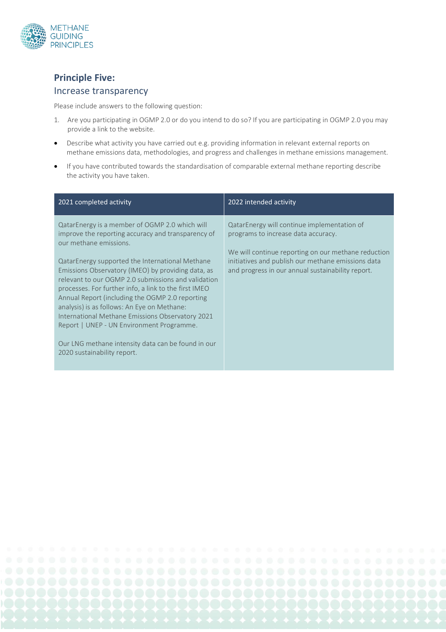

# **Principle Five:**

#### Increase transparency

Please include answers to the following question:

- 1. Are you participating in OGMP 2.0 or do you intend to do so? If you are participating in OGMP 2.0 you may provide a link to the website.
- Describe what activity you have carried out e.g. providing information in relevant external reports on methane emissions data, methodologies, and progress and challenges in methane emissions management.
- If you have contributed towards the standardisation of comparable external methane reporting describe the activity you have taken.

| 2021 completed activity                                                                                                                                                                                                                                                                                                                                                                                                                                                                                                                                                                                                                         | 2022 intended activity                                                                                                                                                                                                                               |
|-------------------------------------------------------------------------------------------------------------------------------------------------------------------------------------------------------------------------------------------------------------------------------------------------------------------------------------------------------------------------------------------------------------------------------------------------------------------------------------------------------------------------------------------------------------------------------------------------------------------------------------------------|------------------------------------------------------------------------------------------------------------------------------------------------------------------------------------------------------------------------------------------------------|
| QatarEnergy is a member of OGMP 2.0 which will<br>improve the reporting accuracy and transparency of<br>our methane emissions.<br>QatarEnergy supported the International Methane<br>Emissions Observatory (IMEO) by providing data, as<br>relevant to our OGMP 2.0 submissions and validation<br>processes. For further info, a link to the first IMEO<br>Annual Report (including the OGMP 2.0 reporting<br>analysis) is as follows: An Eye on Methane:<br>International Methane Emissions Observatory 2021<br>Report   UNEP - UN Environment Programme.<br>Our LNG methane intensity data can be found in our<br>2020 sustainability report. | QatarEnergy will continue implementation of<br>programs to increase data accuracy.<br>We will continue reporting on our methane reduction<br>initiatives and publish our methane emissions data<br>and progress in our annual sustainability report. |